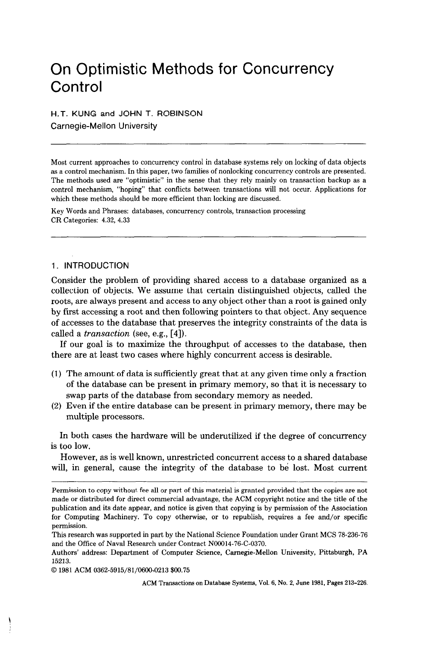# On Optimistic Methods for Concurrency Control

H.T. KUNG and JOHN T. ROBINSON Carnegie-Mellon University

Most current approaches to concurrency control in database systems rely on locking of data objects as a control mechanism. In this paper, two families of nonlocking concurrency controls are presented. The methods used are "optimistic" in the sense that they rely mainly on transaction backup as a control mechanism, "hoping" that conflicts between transactions will not occur. Applications for which these methods should be more efficient than locking are discussed.

Key Words and Phrases: databases, concurrency controls, transaction processing CR Categories: 4.32, 4.33

## 1. INTRODUCTION

Consider the problem of providing shared access to a database organized as a collection of objects. We assume that certain distinguished objects, called the roots, are always present and access to any object other than a root is gained only by first accessing a root and then following pointers to that object. Any sequence of accesses to the database that preserves the integrity constraints of the data is called a transaction (see, e.g., [4]).

If our goal is to maximize the throughput of accesses to the database, then there are at least two cases where highly concurrent access is desirable.

- (1) The amount of data is sufficiently great that at any given time only a fraction of the database can be present in primary memory, so that it is necessary to swap parts of the database from secondary memory as needed.
- (2) Even if the entire database can be present in primary memory, there may be multiple processors.

In both cases the hardware will be underutilized if the degree of concurrency is too low.

However, as is well known, unrestricted concurrent access to a shared database will, in general, cause the integrity of the database to be lost. Most current

0 1981 ACM 0362-5915/81/0600~0213 \$00.75

ACM Transactions on Database Systems, Vol. 6, No. 2, June 1981, Pages 213-226.

Permission to copy without fee all or part of this material is granted provided that the copies are not made or distributed for direct commercial advantage, the ACM copyright notice and the title of the publication and its date appear, and notice is given that copying is by permission of the Association for Computing Machinery. To copy otherwise, or to republish, requires a fee and/or specific permission.

This research was supported in part by the National Science Foundation under Grant MCS 78-236-76 and the Office of Naval Research under Contract NOOO14-76-C-0370.

Authors' address: Department of Computer Science, Carnegie-Mellon University, Pittsburgh, PA 15213.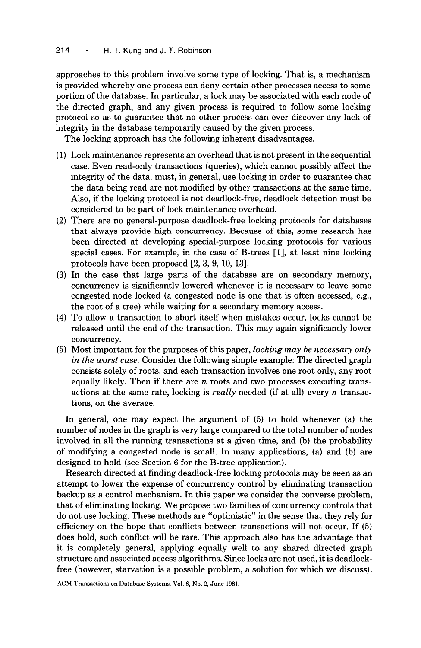approaches to this problem involve some type of locking. That is, a mechanism is provided whereby one process can deny certain other processes access to some portion of the database. In particular, a lock may be associated with each node of the directed graph, and any given process is required to follow some locking protocol so as to guarantee that no other process can ever discover any lack of integrity in the database temporarily caused by the given process.

The locking approach has the following inherent disadvantages.

- (1) Lock maintenance represents an overhead that is not present in the sequential case. Even read-only transactions (queries), which cannot possibly affect the integrity of the data, must, in general, use locking in order to guarantee that the data being read are not modified by other transactions at the same time. Also, if the locking protocol is not deadlock-free, deadlock detection must be considered to be part of lock maintenance overhead.
- (2) There are no general-purpose deadlock-free locking protocols for databases that always provide high concurrency. Because of this, some research has been directed at developing special-purpose locking protocols for various special cases. For example, in the case of B-trees [1], at least nine locking protocols have been proposed [2, 3, 9, 10, 13].
- (3) In the case that large parts of the database are on secondary memory, concurrency is significantly lowered whenever it is necessary to leave some congested node locked (a congested node is one that is often accessed, e.g., the root of a tree) while waiting for a secondary memory access.
- (4) To allow a transaction to abort itself when mistakes occur, locks cannot be released until the end of the transaction. This may again significantly lower concurrency.
- (5) Most important for the purposes of this paper, locking may be necessary only in the worst case. Consider the following simple example: The directed graph consists solely of roots, and each transaction involves one root only, any root equally likely. Then if there are  $n$  roots and two processes executing transactions at the same rate, locking is *really* needed (if at all) every *n* transactions, on the average.

In general, one may expect the argument of (5) to hold whenever (a) the number of nodes in the graph is very large compared to the total number of nodes involved in all the running transactions at a given time, and (b) the probability of modifying a congested node is small. In many applications, (a) and (b) are designed to hold (see Section 6 for the B-tree application).

Research directed at finding deadlock-free locking protocols may be seen as an attempt to lower the expense of concurrency control by eliminating transaction backup as a control mechanism. In this paper we consider the converse problem, that of eliminating locking. We propose two families of concurrency controls that do not use locking. These methods are "optimistic" in the sense that they rely for efficiency on the hope that conflicts between transactions will not occur. If (5) does hold, such conflict will be rare. This approach also has the advantage that it is completely general, applying equally well to any shared directed graph structure and associated access algorithms. Since locks are not used, it is deadlockfree (however, starvation is a possible problem, a solution for which we discuss).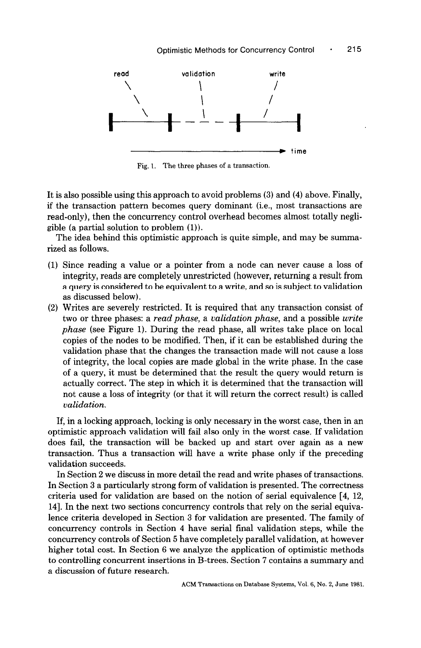

Fig. 1. The three phases of a transaction.

It is also possible using this approach to avoid problems (3) and (4) above. Finally, if the transaction pattern becomes query dominant (i.e., most transactions are read-only), then the concurrency control overhead becomes almost totally negligible (a partial solution to problem (1)).

The idea behind this optimistic approach is quite simple, and may be summarized as follows.

- (1) Since reading a value or a pointer from a node can never cause a loss of integrity, reads are completely unrestricted (however, returning a result from a query is considered to be equivalent to a write, and so is subject to validation as discussed below).
- (2) Writes are severely restricted. It is required that any transaction consist of two or three phases: a read phase, a validation phase, and a possible write phase (see Figure 1). During the read phase, all writes take place on local copies of the nodes to be modified. Then, if it can be established during the validation phase that the changes the transaction made will not cause a loss of integrity, the local copies are made global in the write phase. In the case of a query, it must be determined that the result the query would return is actually correct. The step in which it is determined that the transaction will not cause a loss of integrity (or that it will return the correct result) is called validation.

If, in a locking approach, locking is only necessary in the worst case, then in an optimistic approach validation will fail also only in the worst case. If validation does fail, the transaction will be backed up and start over again as a new transaction. Thus a transaction will have a write phase only if the preceding validation succeeds.

In Section 2 we discuss in more detail the read and write phases of transactions. In Section 3 a particularly strong form of validation is presented. The correctness criteria used for validation are based on the notion of serial equivalence [4, 12, 141. In the next two sections concurrency controls that rely on the serial equivalence criteria developed in Section 3 for validation are presented. The family of concurrency controls in Section 4 have serial final validation steps, while the concurrency controls of Section 5 have completely parallel validation, at however higher total cost. In Section 6 we analyze the application of optimistic methods to controlling concurrent insertions in B-trees. Section 7 contains a summary and a discussion of future research.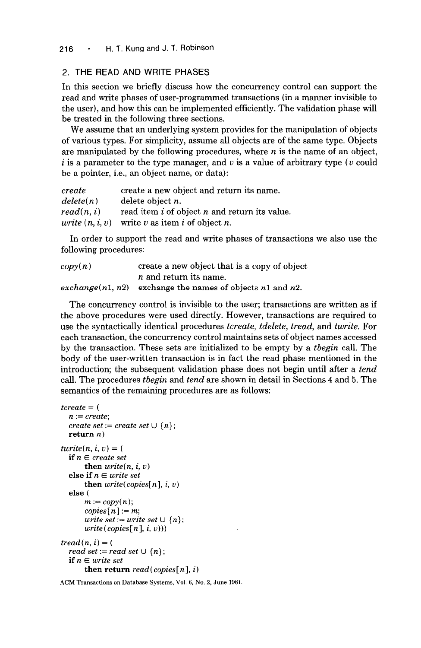### 2. THE READ AND WRITE PHASES

In this section we briefly discuss how the concurrency control can support the read and write phases of user-programmed transactions (in a manner invisible to the user), and how this can be implemented efficiently. The validation phase will be treated in the following three sections.

We assume that an underlying system provides for the manipulation of objects of various types. For simplicity, assume all objects are of the same type. Objects are manipulated by the following procedures, where  $n$  is the name of an object, i is a parameter to the type manager, and v is a value of arbitrary type (v could be a pointer, i.e., an object name, or data):

| create         | create a new object and return its name.          |
|----------------|---------------------------------------------------|
| delete(n)      | delete object $n$ .                               |
| read(n, i)     | read item $i$ of object $n$ and return its value. |
| write(n, i, v) | write $v$ as item $i$ of object $n$ .             |

In order to support the read and write phases of transactions we also use the following procedures:

| copy(n) | create a new object that is a copy of object            |
|---------|---------------------------------------------------------|
|         | <i>n</i> and return its name.                           |
|         | $\exp(n1, n2)$ exchange the names of objects n1 and n2. |

The concurrency control is invisible to the user; transactions are written as if the above procedures were used directly. However, transactions are required to use the syntactically identical procedures tcreate, tdelete, tread, and twrite. For each transaction, the concurrency control maintains sets of object names accessed by the transaction. These sets are initialized to be empty by a tbegin call. The body of the user-written transaction is in fact the read phase mentioned in the introduction; the subsequent validation phase does not begin until after a tend call. The procedures tbegin and tend are shown in detail in Sections 4 and 5. The semantics of the remaining procedures are as follows:

```
tcreate = (n := create;create set := create set \cup {n};
  return n)twrite(n, i, v) = (if n \in \text{create set}then write(n, i, v)else if n \in write set
      then write(copies[n], i, v)
  else ( 
       m := copy(n);copies[n] := m;write set := write set \cup {n};
       write (copies[n], i, v)))tread(n, i) = (read set := read set \cup {n};
  if n \in write set
       then return read (copies [n], i)
```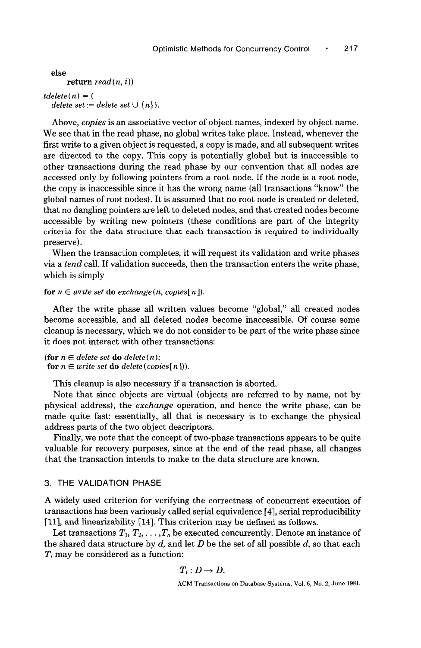```
else 
    return read(n, i)
```

```
tdelete(n) = (delete set := delete set \cup {n}).
```
Above, copies is an associative vector of object names, indexed by object name. We see that in the read phase, no global writes take place. Instead, whenever the first write to a given object is requested, a copy is made, and all subsequent writes are directed to the copy. This copy is potentially global but is inaccessible to other transactions during the read phase by our convention that all nodes are accessed only by following pointers from a root node. If the node is a root node, the copy is inaccessible since it has the wrong name (all transactions "know" the global names of root nodes). It is assumed that no root node is created or deleted, that no dangling pointers are left to deleted nodes, and that created nodes become accessible by writing new pointers (these conditions are part of the integrity criteria for the data structure that each transaction is required to individually preserve).

When the transaction completes, it will request its validation and write phases via a tend call. If validation succeeds, then the transaction enters the write phase, which is simply

#### for  $n \in write$  set do exchange  $(n, copies[n]).$

After the write phase all written values become "global," all created nodes become accessible, and all deleted nodes become inaccessible. Of course some cleanup is necessary, which we do not consider to be part of the write phase since it does not interact with other transactions:

(for  $n \in$  delete set do delete(n); for  $n \in write$  set do delete (copies[n])).

This cleanup is also necessary if a transaction is aborted.

Note that since objects are virtual (objects are referred to by name, not by physical address), the exchange operation, and hence the write phase, can be made quite fast: essentially, all that is necessary is to exchange the physical address parts of the two object descriptors.

Finally, we note that the concept of two-phase transactions appears to be quite valuable for recovery purposes, since at the end of the read phase, all changes that the transaction intends to make to the data structure are known.

# 3. THE VALIDATION PHASE

A widely used criterion for verifying the correctness of concurrent execution of transactions has been variously called serial equivalence [4], serial reproducibility [ll], and linearizability [14]. This criterion may be defined as follows.

Let transactions  $T_1, T_2, \ldots, T_n$  be executed concurrently. Denote an instance of the shared data structure by  $d$ , and let  $D$  be the set of all possible  $d$ , so that each  $T_i$  may be considered as a function:

## $T_i: D \to D$ .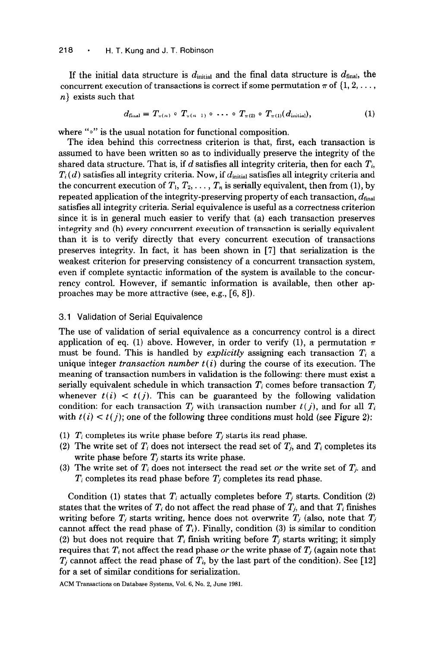If the initial data structure is  $d_{initial}$  and the final data structure is  $d_{final}$ , the concurrent execution of transactions is correct if some permutation  $\pi$  of  $\{1, 2, \ldots\}$  $n$ } exists such that

$$
d_{\text{final}} = T_{\pi(n)} \circ T_{\pi(n-1)} \circ \cdots \circ T_{\pi(2)} \circ T_{\pi(1)}(d_{\text{initial}}), \qquad (1)
$$

where "<sup>o</sup>" is the usual notation for functional composition.

The idea behind this correctness criterion is that, first, each transaction is assumed to have been written so as to individually preserve the integrity of the shared data structure. That is, if d satisfies all integrity criteria, then for each  $T_i$ ,  $T_i(d)$  satisfies all integrity criteria. Now, if  $d_{initial}$  satisfies all integrity criteria and the concurrent execution of  $T_1, T_2, \ldots, T_n$  is serially equivalent, then from (1), by repeated application of the integrity-preserving property of each transaction,  $d_{\text{final}}$ satisfies all integrity criteria. Serial equivalence is useful as a correctness criterion since it is in general much easier to verify that (a) each transaction preserves integrity and (b) every concurrent execution of transaction is serially equivalent than it is to verify directly that every concurrent execution of transactions preserves integrity. In fact, it has been shown in [7] that serialization is the weakest criterion for preserving consistency of a concurrent transaction system, even if complete syntactic information of the system is available to the concurrency control. However, if semantic information is available, then other approaches may be more attractive (see, e.g., [6, 81).

#### 3.1 Validation of Serial Equivalence

The use of validation of serial equivalence as a concurrency control is a direct application of eq. (1) above. However, in order to verify (1), a permutation  $\pi$ must be found. This is handled by explicitly assigning each transaction  $T_i$  a unique integer transaction number  $t(i)$  during the course of its execution. The meaning of transaction numbers in validation is the following: there must exist a serially equivalent schedule in which transaction  $T_i$  comes before transaction  $T_i$ whenever  $t(i) < t(j)$ . This can be guaranteed by the following validation condition: for each transaction  $T_j$  with transaction number  $t(j)$ , and for all  $T_i$ with  $t(i) < t(j)$ ; one of the following three conditions must hold (see Figure 2):

- (1)  $T_i$  completes its write phase before  $T_j$  starts its read phase.
- (2) The write set of  $T_i$  does not intersect the read set of  $T_j$ , and  $T_i$  completes its write phase before  $T_i$  starts its write phase.
- (3) The write set of  $T_i$  does not intersect the read set or the write set of  $T_j$ , and  $T_i$  completes its read phase before  $T_j$  completes its read phase.

Condition (1) states that  $T_i$  actually completes before  $T_i$  starts. Condition (2) states that the writes of  $T_i$  do not affect the read phase of  $T_j$ , and that  $T_i$  finishes writing before  $T_j$  starts writing, hence does not overwrite  $T_j$  (also, note that  $T_j$ cannot affect the read phase of  $T_i$ ). Finally, condition (3) is similar to condition (2) but does not require that  $T_i$  finish writing before  $T_i$  starts writing; it simply requires that  $T_i$  not affect the read phase or the write phase of  $T_i$  (again note that  $T_i$  cannot affect the read phase of  $T_i$ , by the last part of the condition). See [12] for a set of similar conditions for serialization.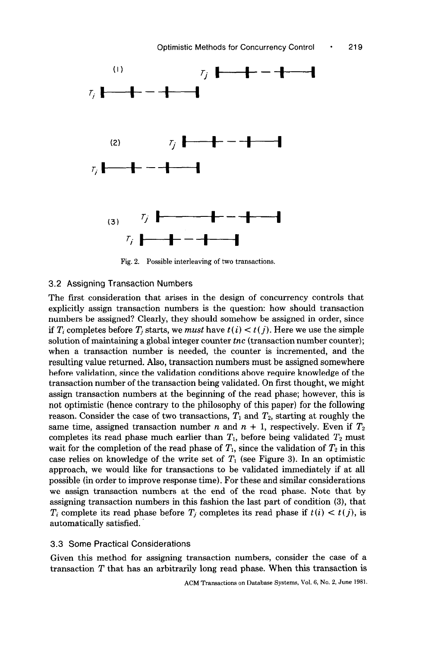

Fig. 2. Possible interleaving of two transactions.

## 3.2 Assigning Transaction Numbers

The first consideration that arises in the design of concurrency controls that explicitly assign transaction numbers is the question: how should transaction numbers be assigned? Clearly, they should somehow be assigned in order, since if  $T_i$  completes before  $T_i$  starts, we *must* have  $t(i) < t(j)$ . Here we use the simple solution of maintaining a global integer counter tnc (transaction number counter); when a transaction number is needed, the counter is incremented, and the resulting value returned. Also, transaction numbers must be assigned somewhere before validation, since the validation conditions above require knowledge of the transaction number of the transaction being validated. On first thought, we might assign transaction numbers at the beginning of the read phase; however, this is not optimistic (hence contrary to the philosophy of this paper) for the following reason. Consider the case of two transactions,  $T_1$  and  $T_2$ , starting at roughly the same time, assigned transaction number n and  $n + 1$ , respectively. Even if  $T_2$ completes its read phase much earlier than  $T_1$ , before being validated  $T_2$  must wait for the completion of the read phase of  $T_1$ , since the validation of  $T_2$  in this case relies on knowledge of the write set of  $T_1$  (see Figure 3). In an optimistic approach, we would like for transactions to be validated immediately if at all possible (in order to improve response time). For these and similar considerations we assign transaction numbers at the end of the read phase. Note that by assigning transaction numbers in this fashion the last part of condition (3), that  $T_i$  complete its read phase before  $T_j$  completes its read phase if  $t(i) < t(j)$ , is automatically satisfied.

#### 3.3 Some Practical Considerations

Given this method for assigning transaction numbers, consider the case of a transaction T that has an arbitrarily long read phase. When this transaction is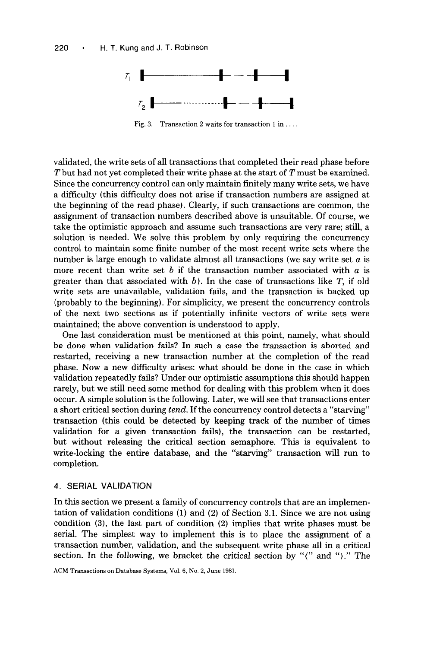

Fig. 3. Transaction 2 waits for transaction  $1$  in ....

validated, the write sets of all transactions that completed their read phase before T but had not yet completed their write phase at the start of T must be examined. Since the concurrency control can only maintain finitely many write sets, we have a difficulty (this difficulty does not arise if transaction numbers are assigned at the beginning of the read phase). Clearly, if such transactions are common, the assignment of transaction numbers described above is unsuitable. Of course, we take the optimistic approach and assume such transactions are very rare; still, a solution is needed. We solve this problem by only requiring the concurrency control to maintain some finite number of the most recent write sets where the number is large enough to validate almost all transactions (we say write set  $\alpha$  is more recent than write set b if the transaction number associated with  $a$  is greater than that associated with  $b$ ). In the case of transactions like  $T$ , if old write sets are unavailable, validation fails, and the transaction is backed up (probably to the beginning). For simplicity, we present the concurrency controls of the next two sections as if potentially infinite vectors of write sets were maintained; the above convention is understood to apply.

One last consideration must be mentioned at this point, namely, what should be done when validation fails? In such a case the transaction is aborted and restarted, receiving a new transaction number at the completion of the read phase. Now a new difficulty arises: what should be done in the case in which validation repeatedly fails? Under our optimistic assumptions this should happen rarely, but we still need some method for dealing with this problem when it does occur. A simple solution is the following. Later, we will see that transactions enter a short critical section during tend. If the concurrency control detects a "starving" transaction (this could be detected by keeping track of the number of times validation for a given transaction fails), the transaction can be restarted, but without releasing the critical section semaphore. This is equivalent to write-locking the entire database, and the "starving" transaction will run to completion.

## 4. SERIAL VALIDATION

In this section we present a family of concurrency controls that are an implementation of validation conditions (1) and (2) of Section 3.1. Since we are not using condition (3), the last part of condition (2) implies that write phases must be serial. The simplest way to implement this is to place the assignment of a transaction number, validation, and the subsequent write phase all in a critical section. In the following, we bracket the critical section by "(" and ")." The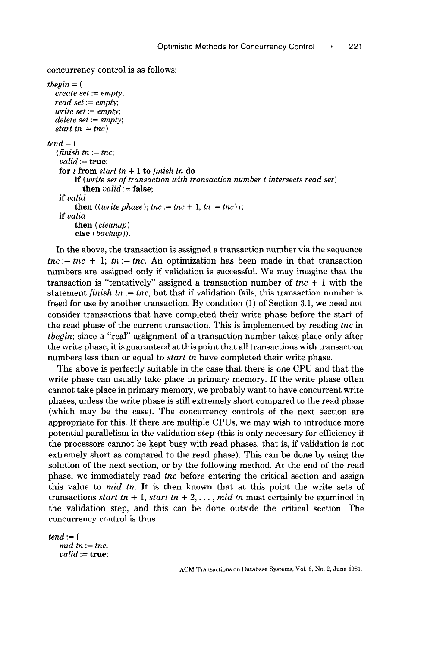```
concurrency control is as follows:
```

```
the \sin = 0create set := empty;
  read set := empty;write set := empty;delete set := empty;start tn := tnc)
tend = ((finish tn := tnc;
   valid := true;for t from start tn +1 to finish tn do
        if (write set of transaction with transaction number t intersects read set) 
          then valid := false;
   if valid 
        then ((write phase); the := the + 1; th := the));if valid 
        then (cleanup)
        else (backup)).
```
In the above, the transaction is assigned a transaction number via the sequence  $tnc := trc + 1$ ;  $tnc := trc$ . An optimization has been made in that transaction numbers are assigned only if validation is successful. We may imagine that the transaction is "tentatively" assigned a transaction number of  $\mathit{tnc} + 1$  with the statement finish  $tn := tn$ , but that if validation fails, this transaction number is freed for use by another transaction. By condition (1) of Section 3.1, we need not consider transactions that have completed their write phase before the start of the read phase of the current transaction. This is implemented by reading the in tbegin; since a "real" assignment of a transaction number takes place only after the write phase, it is guaranteed at this point that all transactions with transaction numbers less than or equal to *start tn* have completed their write phase.

The above is perfectly suitable in the case that there is one CPU and that the write phase can usually take place in primary memory. If the write phase often cannot take place in primary memory, we probably want to have concurrent write phases, unless the write phase is still extremely short compared to the read phase (which may be the case). The concurrency controls of the next section are appropriate for this. If there are multiple CPUs, we may wish to introduce more potential parallelism in the validation step (this is only necessary for efficiency if the processors cannot be kept busy with read phases, that is, if validation is not extremely short as compared to the read phase). This can be done by using the solution of the next section, or by the following method. At the end of the read phase, we immediately read tnc before entering the critical section and assign this value to *mid tn*. It is then known that at this point the write sets of transactions *start tn* + 1, *start tn* + 2, ..., *mid tn* must certainly be examined in the validation step, and this can be done outside the critical section. The concurrency control is thus

```
tend := (mid tn := tnc;
   valid := true;
```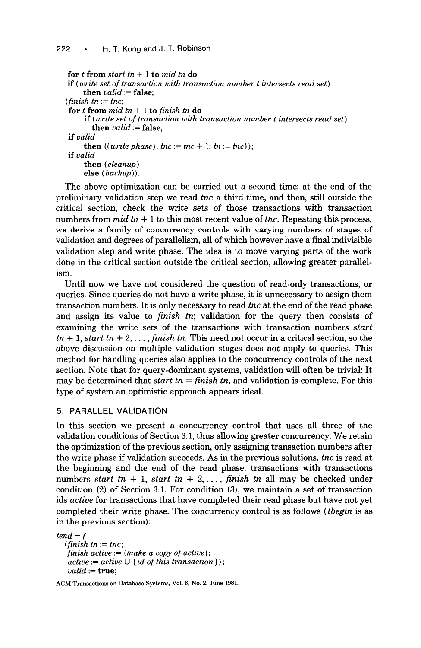```
for t from start tn + 1 to mid tn do
if (write set of transaction with transaction number t intersects read set) 
     then valid := false;
(finish tn := trc;
for t from mid tn + 1 to finish tn do
     if (write set of transaction with transaction number t intersects read set) 
       then valid := false;
if valid 
     then ((write phase); the := trc + 1; the := trc);
if valid 
     then (cleanup) 
     else (backup)).
```
The above optimization can be carried out a second time: at the end of the preliminary validation step we read tnc a third time, and then, still outside the critical section, check the write sets of those transactions with transaction numbers from  $mid$   $tn + 1$  to this most recent value of tnc. Repeating this process, we derive a family of concurrency controls with varying numbers of stages of validation and degrees of parallelism, all of which however have a final indivisible validation step and write phase. The idea is to move varying parts of the work done in the critical section outside the critical section, allowing greater parallelism.

Until now we have not considered the question of read-only transactions, or queries. Since queries do not have a write phase, it is unnecessary to assign them transaction numbers. It is only necessary to read tnc at the end of the read phase and assign its value to *finish tn*; validation for the query then consists of examining the write sets of the transactions with transaction numbers start  $tn + 1$ , start  $tn + 2, \ldots$ , finish tn. This need not occur in a critical section, so the above discussion on multiple validation stages does not apply to queries. This method for handling queries also applies to the concurrency controls of the next section. Note that for query-dominant systems, validation will often be trivial: It may be determined that start  $tn = finish \, tn$ , and validation is complete. For this type of system an optimistic approach appears ideal.

# 5. PARALLEL VALIDATION

In this section we present a concurrency control that uses all three of the validation conditions of Section 3.1, thus allowing greater concurrency. We retain the optimization of the previous section, only assigning transaction numbers after the write phase if validation succeeds. As in the previous solutions, tnc is read at the beginning and the end of the read phase; transactions with transactions numbers start tn + 1, start tn + 2, ..., finish tn all may be checked under condition (2) of Section 3.1. For condition (3), we maintain a set of transaction ids active for transactions that have completed their read phase but have not yet completed their write phase. The concurrency control is as follows (tbegin is as in the previous section):

```
tend = (\{finish <math>tn := tnc</math>;
   finish active :=(make\ a\ copy\ of\ active);active := active \cup \{ id \text{ of this transaction } \};valid := true;
```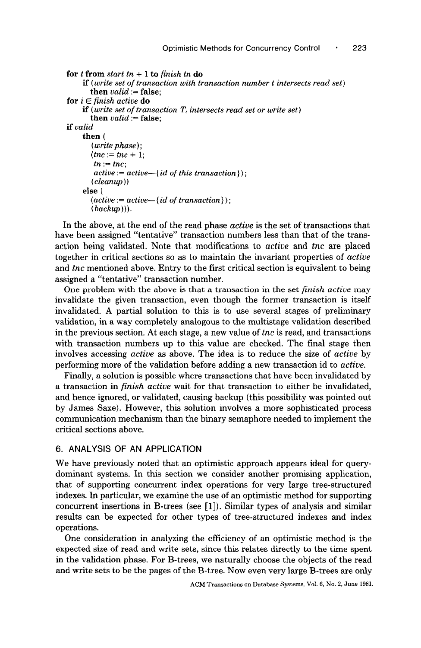```
for t from start tn + 1 to finish tn do
     if (write set of transaction with transaction number t intersects read set) 
       then valid := false;
for i \in finish active do
    if (write set of transaction T_i intersects read set or write set)
       then valid := false;
if valid 
     then ( 
       (write phase); 
       \langle tnc := tnc + 1;tn := trc;active := active - \{id \text{ of this transaction}\};(cleanup)) 
     else ( 
       \langle active := active - \{id\ of\ transaction\}\rangle;
       (backup)).
```
In the above, at the end of the read phase *active* is the set of transactions that have been assigned "tentative" transaction numbers less than that of the transaction being validated. Note that modifications to active and tnc are placed together in critical sections so as to maintain the invariant properties of active and tnc mentioned above. Entry to the first critical section is equivalent to being assigned a "tentative" transaction number.

One problem with the above is that a transaction in the set *finish active* may invalidate the given transaction, even though the former transaction is itself invalidated. A partial solution to this is to use several stages of preliminary validation, in a way completely analogous to the multistage validation described in the previous section. At each stage, a new value of tnc is read, and transactions with transaction numbers up to this value are checked. The final stage then involves accessing active as above. The idea is to reduce the size of active by performing more of the validation before adding a new transaction id to active.

Finally, a solution is possible where transactions that have been invalidated by a transaction in finish active wait for that transaction to either be invalidated, and hence ignored, or validated, causing backup (this possibility was pointed out by James Saxe). However, this solution involves a more sophisticated process communication mechanism than the binary semaphore needed to implement the critical sections above.

## 6. ANALYSIS OF AN APPLICATION

We have previously noted that an optimistic approach appears ideal for querydominant systems. In this section we consider another promising application, that of supporting concurrent index operations for very large tree-structured indexes. In particular, we examine the use of an optimistic method for supporting concurrent insertions in B-trees (see [l]). Similar types of analysis and similar results can be expected for other types of tree-structured indexes and index operations.

One consideration in analyzing the efficiency of an optimistic method is the expected size of read and write sets, since this relates directly to the time spent in the validation phase. For B-trees, we naturally choose the objects of the read and write sets to be the pages of the B-tree. Now even very large B-trees are only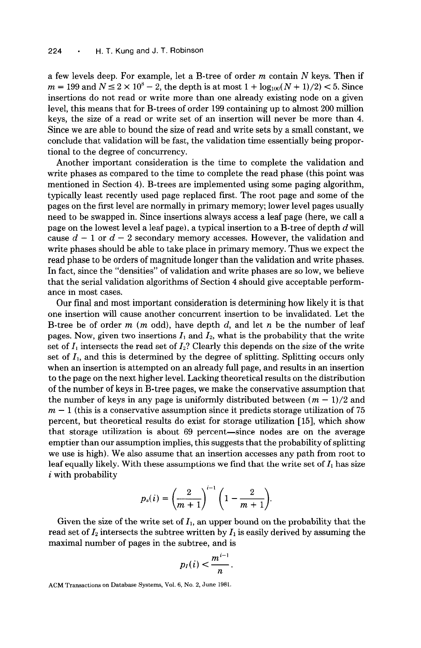a few levels deep. For example, let a B-tree of order  $m$  contain  $N$  keys. Then if  $m = 199$  and  $N \le 2 \times 10^8 - 2$ , the depth is at most  $1 + log_{100}(N + 1)/2) < 5$ . Since insertions do not read or write more than one already existing node on a given level, this means that for B-trees of order 199 containing up to almost 200 million keys, the size of a read or write set of an insertion will never be more than 4. Since we are able to bound the size of read and write sets by a small constant, we conclude that validation will be fast, the validation time essentially being proportional to the degree of concurrency.

Another important consideration is the time to complete the validation and write phases as compared to the time to complete the read phase (this point was mentioned in Section 4). B-trees are implemented using some paging algorithm, typically least recently used page replaced first. The root page and some of the pages on the first level are normally in primary memory; lower level pages usually need to be swapped in. Since insertions always access a leaf page (here, we call a page on the lowest level a leaf page), a typical insertion to a B-tree of depth d will cause  $d - 1$  or  $d - 2$  secondary memory accesses. However, the validation and write phases should be able to take place in primary memory. Thus we expect the read phase to be orders of magnitude longer than the validation and write phases. In fact, since the "densities" of validation and write phases are so low, we believe that the serial validation algorithms of Section 4 should give acceptable performance in most cases.

Our final and most important consideration is determining how likely it is that one insertion will cause another concurrent insertion to be invalidated. Let the B-tree be of order m  $(m \text{ odd})$ , have depth d, and let n be the number of leaf pages. Now, given two insertions  $I_1$  and  $I_2$ , what is the probability that the write set of  $I_1$  intersects the read set of  $I_2$ ? Clearly this depends on the size of the write set of  $I_1$ , and this is determined by the degree of splitting. Splitting occurs only when an insertion is attempted on an already full page, and results in an insertion to the page on the next higher level. Lacking theoretical results on the distribution of the number of keys in B-tree pages, we make the conservative assumption that the number of keys in any page is uniformly distributed between  $(m - 1)/2$  and  $m-1$  (this is a conservative assumption since it predicts storage utilization of 75 percent, but theoretical results do exist for storage utilization [15], which show that storage utilization is about 69 percent-since nodes are on the average emptier than our assumption implies, this suggests that the probability of splitting we use is high). We also assume that an insertion accesses any path from root to leaf equally likely. With these assumptions we find that the write set of  $I_1$  has size i with probability

$$
p_s(i) = \left(\frac{2}{m+1}\right)^{i-1} \left(1 - \frac{2}{m+1}\right).
$$

Given the size of the write set of  $I_1$ , an upper bound on the probability that the read set of  $I_2$  intersects the subtree written by  $I_1$  is easily derived by assuming the maximal number of pages in the subtree, and is

$$
p_I(i) < \frac{m^{i-1}}{n}.
$$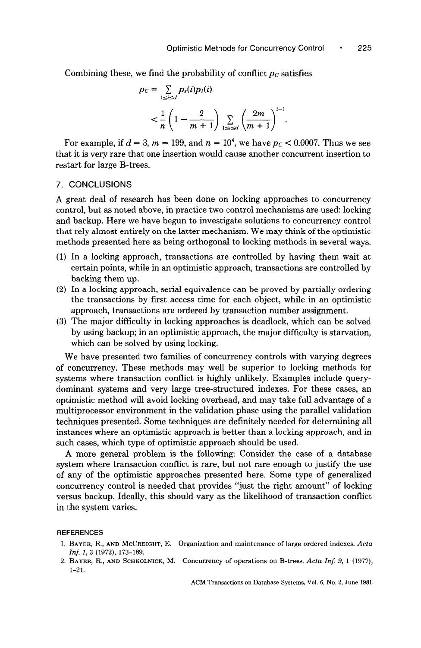Combining these, we find the probability of conflict  $p<sub>C</sub>$  satisfies

$$
p_C = \sum_{1 \le i \le d} p_s(i)p_I(i)
$$
  

$$
< \frac{1}{n} \left(1 - \frac{2}{m+1}\right) \sum_{1 \le i \le d} \left(\frac{2m}{m+1}\right)^{i-1}.
$$

For example, if  $d = 3$ ,  $m = 199$ , and  $n = 10<sup>4</sup>$ , we have  $p_c < 0.0007$ . Thus we see that it is very rare that one insertion would cause another concurrent insertion to restart for large B-trees.

#### 7. CONCLUSIONS

A great deal of research has been done on locking approaches to concurrency control, but as noted above, in practice two control mechanisms are used: locking and backup. Here we have begun to investigate solutions to concurrency control that rely almost entirely on the latter mechanism. We may think of the optimistic methods presented here as being orthogonal to locking methods in several ways.

- (1) In a locking approach, transactions are controlled by having them wait at certain points, while in an optimistic approach, transactions are controlled by backing them up.
- (2) In a locking approach, serial equivalence can be proved by partially ordering the transactions by first access time for each object, while in an optimistic approach, transactions are ordered by transaction number assignment.
- (3) The major difficulty in locking approaches is deadlock, which can be solved by using backup; in an optimistic approach, the major difficulty is starvation, which can be solved by using locking.

We have presented two families of concurrency controls with varying degrees of concurrency. These methods may well be superior to locking methods for systems where transaction conflict is highly unlikely. Examples include querydominant systems and very large tree-structured indexes. For these cases, an optimistic method will avoid locking overhead, and may take full advantage of a multiprocessor environment in the validation phase using the parallel validation techniques presented. Some techniques are definitely needed for determining all instances where an optimistic approach is better than a locking approach, and in such cases, which type of optimistic approach should be used.

A more general problem is the following: Consider the case of a database system where transaction conflict is rare, but not rare enough to justify the use of any of the optimistic approaches presented here. Some type of generalized concurrency control is needed that provides "just the right amount" of locking versus backup. Ideally, this should vary as the likelihood of transaction conflict in the system varies.

#### REFERENCES

- 1. BAYER, FL, AND MCCREIGHT, E. Organization and maintenance of large ordered indexes. Acta Inf. 1, 3 (1972), 173-189.
- 2. BAYER, R., AND SCHKOLNICK, M. Concurrency of operations on B-trees. Acta Inf. 9, 1 (1977), 1-21.